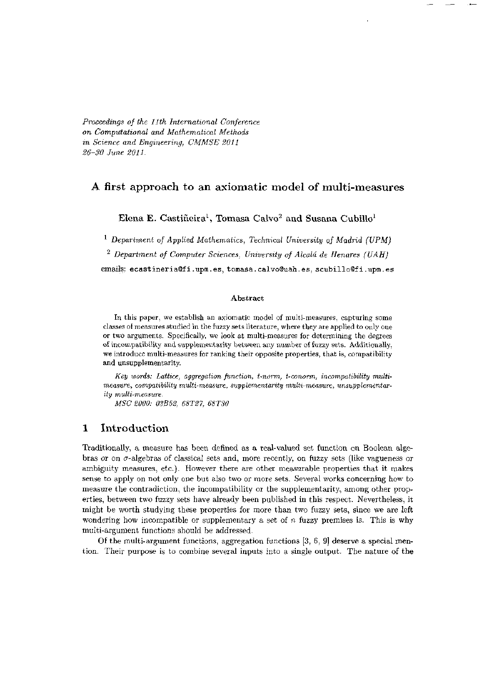*Proceedings of the 11th International Conference on Computational and Mathematical Methods in Science and Engineering, CMMSE 2011 26-30 June 2011.* 

# *A* first approach to an axiomatic model of multi-measures

**Elena E. Castiñeira<sup>1</sup> , Tomas a Calvo <sup>2</sup> and Susana Cubillo<sup>1</sup>**

<sup>1</sup> Department of Applied Mathematics, Technical University of Madrid (UPM)

*2 Department of Computer Sciences, University of Alcalá de Henares (UAH)* 

emails: **[ecastineria@fi.upm.es,](mailto:ecastineria@fi.upm.es) [tomasa.calvo@uah.es,](mailto:tomasa.calvo@uah.es) [scubillo@fi.upm.es](mailto:scubillo@fi.upm.es)** 

#### **Abstract**

**In** this paper, we establish an axiomatic model of multi-measures, capturing some classes of measures studied in the fuzzy sets literature, where they are applied to only one or two arguments. Specifically, we look at multi-measures for determining the degrees of incompatibility and supplernentarity between any number of fuzzy sets. Additionally, we introduce multi-measures for ranking their opposite properties, that is, compatibility and unsupplementarity.

Key words: Lattice, aggregation function, t-norm, t-conorm, incompatibility multi*measure, compatibility multi-measure, supplernentarity multi-measure, unsupplementarity multi-measure.* 

*MSC 2000: 03B52, 68T27, 68T30* 

# 1 Introduction

Traditionally, a measure has been defined as a real-valued set function on Boolean algebras or on  $\sigma$ -algebras of classical sets and, more recently, on fuzzy sets (like vagueness or ambiguity measures, etc.). However there are other measurable properties that it makes sense to apply on not only one but also two or more sets. Several works concerning how to measure the contradiction, the incompatibility or the supplementarity, among other properties, between two fuzzy sets have already been published in this respect. Nevertheless, it might be worth studying these properties for more than two fuzzy sets, since we are left wondering how incompatible or supplementary a set of  $n$  fuzzy premises is. This is why multi-argument functions should be addressed.

Of the multi-argument functions, aggregation functions [3, 6, 9] deserve a special mention. Their purpose is to combine several inputs into a single output. The nature of the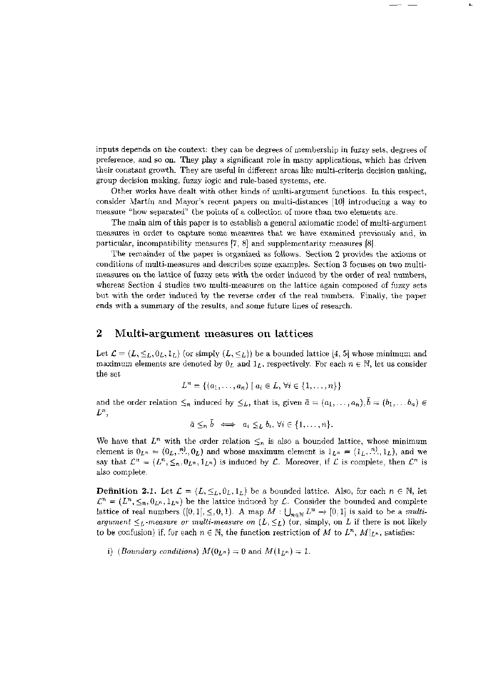inputs depends on the context: they can be degrees of membership in fuzzy sets, degrees of preference, and so on. They play a significant role in many applications, which has driven their constant growth. They are useful in different areas like multi-criteria decision making, group decision making, fuzzy logic and rule-based systems, etc.

Other works have dealt with other kinds of multi-argument functions. In this respect, consider Martin and Mayor's recent papers on multi-distances [10] introducing a way to measure "how separated" the points of a collection of more than two elements are.

The main aim of this paper is to establish a general axiomatic model of multi-argument measures in order to capture some measures that we have examined previously and, in particular, incompatibility measures  $[7, 8]$  and supplementarity measures  $[8]$ .

The remainder of the paper is organized as follows. Section 2 provides the axioms or conditions of multi-measures and describes some examples. Section 3 focuses on two multimeasures on the lattice of fuzzy sets with the order induced by the order of real numbers, whereas Section 4 studies two multi-measures on the lattice again composed of fuzzy sets but with the order induced by the reverse order of the real numbers. Finally, the paper ends with a summary of the results, and some future lines of research.

## 2 Multi-argument measures on lattices

Let  $\mathcal{L} = (L, \leq_L, 0_L, 1_L)$  (or simply  $(L, \leq_L)$ ) be a bounded lattice [4, 5] whose minimum and maximum elements are denoted by  $0_L$  and  $1_L$ , respectively. For each  $n \in \mathbb{N}$ , let us consider the set

$$
L^n = \{(a_1, \ldots, a_n) \mid a_i \in L, \forall i \in \{1, \ldots, n\}\}\
$$

and the order relation  $\leq_n$  induced by  $\leq_L$ , that is, given  $\bar{a} = (a_1, \ldots, a_n)$ ,  $\bar{b} = (b_1, \ldots, b_n)$   $\in$  $L^n$ ,

 $\bar{a} \leq_n \bar{b} \iff a_i \leq_L b_i, \forall i \in \{1, \ldots, n\}.$ 

We have that  $L^n$  with the order relation  $\leq_n$  is also a bounded lattice, whose minimum element is  $0_{L^n} = (0_L, \dots, 0_L)$  and whose maximum element is  $1_{L^n} = (1_L, \dots, 1_L)$ , and we say that  $\mathcal{L}^n = (L^n, \leq_n, 0_{L^n}, 1_{L^n})$  is induced by  $\mathcal{L}$ . Moreover, if  $\mathcal{L}$  is complete, then  $\mathcal{L}^n$  is also complete.

**Definition 2.1.** Let  $\mathcal{L} = (L, \leq_L, 0_L, 1_L)$  be a bounded lattice. Also, for each  $n \in \mathbb{N}$ , let  $\mathcal{L}^n = (L^n, \leq_n, 0_{L^n}, 1_{L^n})$  be the lattice induced by  $\mathcal{L}$ . Consider the bounded and complete lattice of real numbers  $([0,1], \leq, 0, 1)$ . A map  $M : \bigcup_{n \in \mathbb{N}} L^n \to [0,1]$  is said to be a *multa argument*  $\leq_L$ -measure or multi-measure on  $(L, \leq_L)$  (or, simply, on L if there is not likely to be confusion) if, for each  $n \in \mathbb{N}$ , the function restriction of M to  $L^n$ ,  $M|_{L^n}$ , satisfies:

i) (*Boundary conditions*)  $M(0_{L^n}) = 0$  and  $M(1_{L^n}) = 1$ .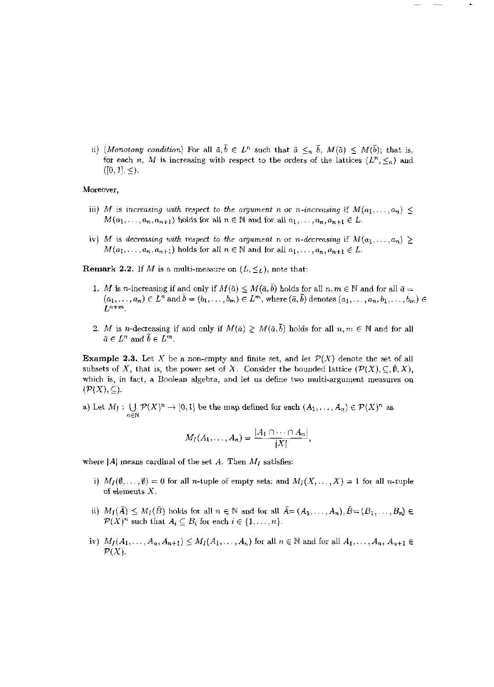ii) *(Monotony condition)* For all  $\bar{a}, \bar{b} \in L^n$  such that  $\bar{a} \leq_n \bar{b}$ ,  $M(\bar{a}) \leq M(\bar{b})$ ; that is, for each *n*, *M* is increasing with respect to the orders of the lattices  $(L^n, \leq_n)$  and  $([0, 1], \leq).$ 

### Moreover,

- iii) *M* is increasing with respect to the argument n or n-increasing if  $M(a_1, \ldots, a_n) \leq$  $M(a_1, \ldots, a_n, a_{n+1})$  holds for all  $n \in \mathbb{N}$  and for all  $a_1, \ldots, a_n, a_{n+1} \in L$ .
- iv) M is decreasing with respect to the argument n or *n*-decreasing if  $M(a_1, \ldots, a_n) \geq$  $M(a_1, \ldots, a_n, a_{n+1})$  holds for all  $n \in \mathbb{N}$  and for all  $a_1, \ldots, a_n, a_{n+1} \in L$ .

**Remark 2.2.** If *M* is a multi-measure on  $(L, \leq_L)$ , note that:

- 1. *M* is *n*-increasing if and only if  $M(\tilde{a}) \leq M(\bar{a}, \bar{b})$  holds for all  $n, m \in \mathbb{N}$  and for all  $\bar{a} =$  $(a_1,\ldots,a_n) \in L^n$  and  $\bar{b}=(b_1,\ldots,b_m) \in L^m$ , where  $(\bar{a},\bar{b})$  denotes  $(a_1,\ldots,a_n,b_1,\ldots,b_m) \in L^n$  $L^{n+m}$
- 2. *M* is *n*-decreasing if and only if  $M(\bar{a}) \geq M(\bar{a}, \bar{b})$  holds for all  $n, m \in \mathbb{N}$  and for all  $\bar{a} \in L^n$  and  $\bar{b} \in L^m$ .

**Example 2.3.** Let X be a non-empty and finite set, and let  $\mathcal{P}(X)$  denote the set of all subsets of X, that is, the power set of X. Consider the bounded lattice  $(\mathcal{P}(X), \subseteq, \emptyset, X)$ , which is, in fact, a Boolean algebra, and let us define two multi-argument measures on  $(P(X), \subseteq).$ 

a) Let  $M_1: \bigcup \mathcal{P}(X)^n \to [0,1]$  be the map defined for each  $(A_1,\ldots,A_n) \in \mathcal{P}(X)^n$  as

$$
M_I(A_1,\ldots,A_n)=\frac{|A_1\cap\cdots\cap A_n|}{|X|},
$$

- i)  $M_I(\emptyset, \ldots, \emptyset) = 0$  for all *n*-tuple of empty sets; and  $M_I(X, \ldots, X) = 1$  for all *n*-tuple of elements X.
- ii)  $M_I(\overline{A}) \leq M_I(\overline{B})$  holds for all  $n \in \mathbb{N}$  and for all  $\overline{A} = (A_1, \ldots, A_n), \overline{B} = (B_1, \ldots, B_n) \in$  $\mathcal{P}(X)^n$  such that  $A_i \subseteq B_i$  for each  $i \in \{1, \ldots, n\}$ .
- iv)  $M_I(A_1, ..., A_n, A_{n+1}) \leq M_I(A_1, ..., A_n)$  for all  $n \in \mathbb{N}$  and for all  $A_1, ..., A_n, A_{n+1} \in$  $\mathcal{P}(X)$ .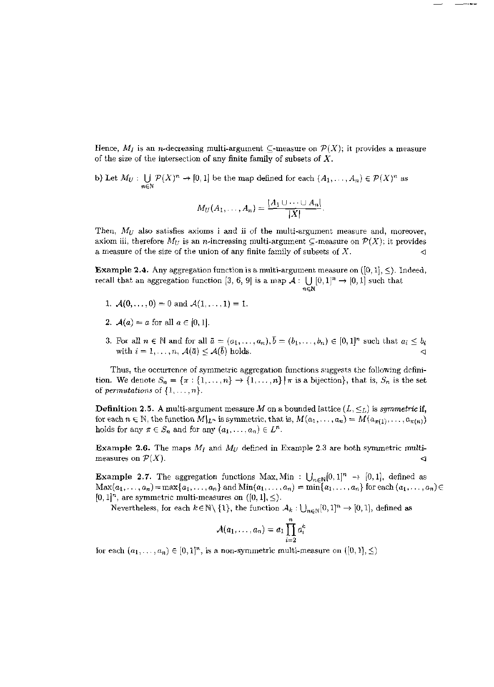Hence,  $M_I$  is an *n*-decreasing multi-argument  $\subseteq$ -measure on  $P(X)$ ; it provides a measure of the size of the intersection of any finite family of subsets of *X.* 

b) Let  $M_U: \bigcup \mathcal{P}(X)^n \to [0,1]$  be the map defined for each  $(A_1,\ldots,A_n) \in \mathcal{P}(X)^n$  as  $n\in\mathbb{N}$ 

$$
M_U(A_1,\ldots,A_n)=\frac{|A_1\cup\cdots\cup A_n|}{|X|}
$$

Then,  $M_U$  also satisfies axioms i and ii of the multi-argument measure and, moreover, axiom iii, therefore  $M_U$  is an *n*-increasing multi-argument  $\subseteq$ -measure on  $\mathcal{P}(X)$ ; it provides a measure of the size of the union of any finite family of subsets of  $X$ .

**Example 2.4.** Any aggregation function is a multi-argument measure on  $([0,1], \leq)$ . Indeed, recall that an aggregation function [3, 6, 9] is a map  $\mathcal{A} : \bigcup [0,1]^n \to [0,1]$  such that n€N

- 1.  $\mathcal{A}(0,\ldots,0) = 0$  and  $\mathcal{A}(1,\ldots,1) = 1$ .
- 2.  $A(a) = a$  for all  $a \in [0,1]$ .
- 3. For all  $n \in \mathbb{N}$  and for all  $\bar{a} = (a_1, \ldots, a_n), \bar{b} = (b_1, \ldots, b_n) \in [0, 1]^n$  such that  $a_i \leq b_i$ with  $i = 1, \ldots, n$ ,  $\mathcal{A}(\bar{a}) \leq \mathcal{A}(\bar{b})$  holds.

Thus, the occurrence of symmetric aggregation functions suggests the following definition. We denote  $S_n = {\pi : \{1, ..., n\} \rightarrow \{1, ..., n\} | \pi \text{ is a bijection}\},\text{ that is, } S_n \text{ is the set }$ of *permutations* of  $\{1, \ldots, n\}$ .

**Definition 2.5.** A multi-argument measure M on a bounded lattice  $(L, \leq_L)$  is *symmetric* if, for each  $n \in \mathbb{N}$ , the function  $M|_{L^n}$  is symmetric, that is,  $M(a_1, \ldots, a_n) = M(a_{\pi(1)}, \ldots, a_{\pi(n)})$ holds for any  $\pi \in S_n$  and for any  $(a_1, \ldots, a_n) \in L^n$ .

**Example 2.6.** The maps *M¡* and *Mu* defined in Example 2.3 are both symmetric multimeasures on  $\mathcal{P}(X)$ .

**Example 2.7.** The aggregation functions Max, Min :  $\bigcup_{n\in\mathbb{N}}[0,1]^n \to [0,1]$ , defined as  $\text{Max}(a_1, \ldots, a_n) = \max\{a_1, \ldots, a_n\}$  and  $\text{Min}(a_1, \ldots, a_n) = \min\{a_1, \ldots, a_n\}$  for each  $(a_1, \ldots, a_n) \in$  $[0,1]^n$ , are symmetric multi-measures on  $([0,1], \leq)$ .

Nevertheless, for each  $k \in \mathbb{N} \setminus \{1\}$ , the function  $A_k: \bigcup_{n \in \mathbb{N}} [0,1]^n \to [0,1]$ , defined as

$$
\mathcal{A}(a_1,\ldots,a_n)=a_1\prod_{i=2}^n a_i^k
$$

for each  $(a_1, \ldots, a_n) \in [0,1]^n$ , is a non-symmetric multi-measure on  $([0,1], \leq)$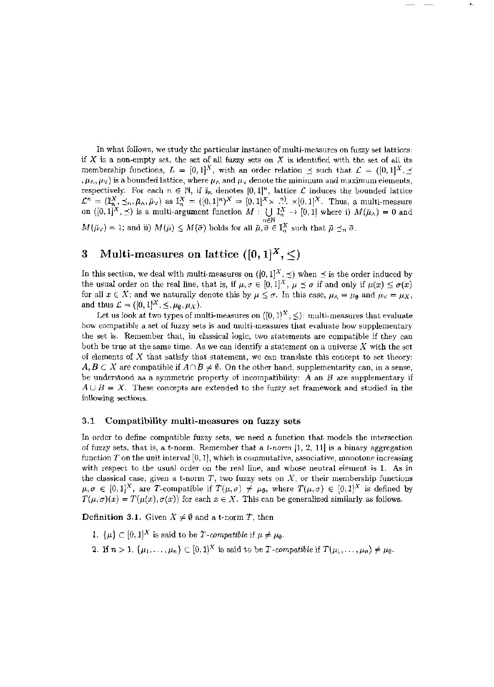In what follows, we study the particular instance of multi-measures on fuzzy set lattices: if  $X$  is a non-empty set, the set of all fuzzy sets on  $X$  is identified with the set of all its membership functions,  $L = [0,1]^X$ , with an order relation  $\preceq$  such that  $\mathcal{L} = ([0,1]^X, \preceq)$  $, \mu_{\wedge}, \mu_{\vee}$  is a bounded lattice, where  $\mu_{\wedge}$  and  $\mu_{\vee}$  denote the minimum and maximum elements, respectively. For each  $n \in \mathbb{N}$ , if  $\mathbb{I}_n$  denotes  $[0,1]^n$ , lattice  $\mathcal L$  induces the bounded lattice  $\mathcal{L}^n = (\mathbb{I}_{n}^X, \preceq_n, \bar{\mu}_\wedge, \bar{\mu}_\vee)$  as  $\mathbb{I}_{n}^X = ([0,1]^n)^X = [0,1]^X \times [0,1]^X$ . Thus, a multi-measure on  $([0,1]^X,\preceq)$  is a multi-argument function  $M : \{\}\mathbb{I}^X_\alpha \to [0,1]$  where i)  $M(\bar{\mu}_\alpha) = 0$  and  $M(\bar{\mu}_{\vee}) = 1$ ; and ii)  $M(\bar{\mu}) \leq M(\bar{\sigma})$  holds for all  $\bar{\mu}, \bar{\sigma} \in \mathbb{I}_n^{\times}$  such that  $\bar{\mu} \preceq_n \bar{\sigma}$ .

# 3 Multi-measures on lattice  $([0,1]^X,\leq)$

In this section, we deal with multi-measures on  $([0,1]^A,\preceq)$  when  $\preceq$  is the order induced by the usual order on the real line, that is, if  $\mu, \sigma \in [0, 1]^X$ ,  $\mu \preceq \sigma$  if and only if  $\mu(x) \leq \sigma(x)$ for all  $x \in X$ ; and we naturally denote this by  $\mu \leq \sigma$ . In this case,  $\mu_0 = \mu_{\emptyset}$  and  $\mu_0 = \mu_X$ , and thus  $\mathcal{L} = ([0,1]^X, \leq, \mu_{\emptyset}, \mu_X)$ .

Let us look at two types of multi-measures on  $([0,1]^X, \leq)$ : multi-measures that evaluate how compatible a set of fuzzy sets is and multi-measures that evaluate how supplementary the set is. Remember that, in classical logic, two statements are compatible if they can both be true at the same time. As we can identify a statement on a universe *X* with the set of elements of *X* that satisfy that statement, we can translate this concept to set theory:  $A, B \subset X$  are compatible if  $A \cap B \neq \emptyset$ . On the other hand, supplementarity can, in a sense, be understood as a symmetric property of incompatibility: *A* an *B* are supplementary if  $A \cup B = X$ . These concepts are extended to the fuzzy set framework and studied in the following sections.

#### **3.1 Compatibility multi-measures on fuzzy sets**

**In** order to define compatible fuzzy sets, we need a function that models the intersection of fuzzy sets, that is, a t-norm. Remember that a *t-norm* [1, 2, 11] is a binary aggregation function  $T$  on the unit interval  $[0,1]$ , which is commutative, associative, monotone increasing with respect to the usual order on the real line, and whose neutral element is 1. As in the classical case, given a t-norm  $T$ , two fuzzy sets on  $X$ , or their membership functions  $\mu, \sigma \in [0,1]^X$ , are *T*-compatible if  $T(\mu, \sigma) \neq \mu_{\emptyset}$ , where  $T(\mu, \sigma) \in [0,1]^X$  is defined by  $T(\mu, \sigma)(x) = T(\mu(x), \sigma(x))$  for each  $x \in X$ . This can be generalized similarly as follows.

**Definition 3.1.** Given  $X \neq \emptyset$  and a t-norm *T*, then

- 1.  $\{\mu\} \subset [0,1]^X$  is said to be *T*-compatible if  $\mu \neq \mu_0$ .
- 2. If  $n > 1$ ,  $\{\mu_1, \ldots, \mu_n\} \subset [0,1]^X$  is said to be *T*-compatible if  $T(\mu_1, \ldots, \mu_n) \neq \mu_{\emptyset}$ .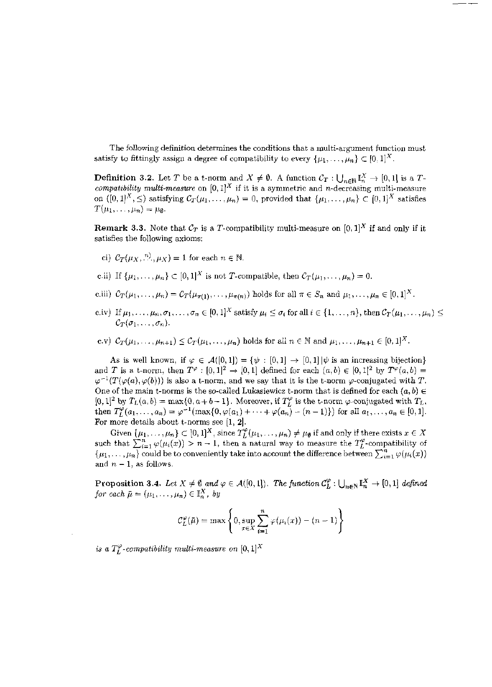The following definition determines the conditions that a multi-argument function must satisfy to fittingly assign a degree of compatibility to every  $\{\mu_1, \dots, \mu_n\} \subset [0,1]^X$ .

**Definition 3.2.** Let T be a t-norm and  $X \neq \emptyset$ . A function  $C_T : \bigcup_{n \in \mathbb{N}} \mathbb{I}_n^X \to [0, 1]$  is a T-compatibility multi-measure on  $[0, 1]^X$  if it is a symmetric and n-decreasing multi-measure on  $(0,1]^X$ ,  $\leq$ ) satisfying  $C_T(\mu_1,\ldots,\mu_n)=0$ , provided that  $\{\mu_1,\ldots,\mu_n\}\subset [0,1]^X$  satisfies  $T(\mu_1,\ldots,\mu_n)=\mu_{\emptyset}.$ 

**Remark 3.3.** Note that  $\mathcal{C}_T$  is a T-compatibility multi-measure on  $[0,1]^X$  if and only if it satisfies the following axioms:

- ci)  $\mathcal{C}_{\mathcal{T}}(\mu_X, \stackrel{n)}{\ldots}, \mu_X) = 1$  for each  $n \in \mathbb{N}$ .
- c.ii) If  $\{\mu_1, \ldots, \mu_n\} \subset [0,1]^X$  is not T-compatible, then  $C_T(\mu_1, \ldots, \mu_n) = 0$ .
- c.iii)  $C_T(\mu_1,\ldots,\mu_n) = C_T(\mu_{\pi(1)},\ldots,\mu_{\pi(n)})$  holds for all  $\pi \in S_n$  and  $\mu_1,\ldots,\mu_n \in [0,1]^X$ .
- c.iv) If  $\mu_1, \ldots, \mu_n, \sigma_1, \ldots, \sigma_n \in [0, 1]^X$  satisfy  $\mu_i \leq \sigma_i$  for all  $i \in \{1, \ldots, n\}$ , then  $\mathcal{C}_T(\mu_1, \ldots, \mu_n) \leq$  $\mathcal{C}_T(\sigma_1,\ldots,\sigma_n).$
- c.v)  $\mathcal{C}_{\mathcal{T}}(\mu_1,\ldots,\mu_{n+1}) \leq \mathcal{C}_{\mathcal{T}}(\mu_1,\ldots,\mu_n)$  holds for all  $n \in \mathbb{N}$  and  $\mu_1,\ldots,\mu_{n+1} \in [0,1]^X$ .

As is well known, if  $\varphi \in \mathcal{A}([0,1]) = \{\psi : [0,1] \to [0,1] | \psi \text{ is an increasing bijection}\}$ <br>and T is a t-norm, then  $T^{\varphi} : [0,1]^2 \to [0,1]$  defined for each  $(a,b) \in [0,1]^2$  by  $T^{\varphi}(a,b) =$  $\varphi^{-1}(T(\varphi(a), \varphi(b)))$  is also a t-norm, and we say that it is the t-norm  $\varphi$ -conjugated with T. One of the main t-norms is the so-called Lukasiewicz t-norm that is defined for each  $(a, b) \in$  $[0,1]^2$  by  $T_L(a,b) = \max\{0,a+b-1\}$ . Moreover, if  $T_L^{\varphi}$  is the t-norm  $\varphi$ -conjugated with  $T_L$ ,<br>then  $T_L^{\varphi}(a_1,\ldots,a_n) = \varphi^{-1}(\max\{0,\varphi(a_1)+\cdots+\varphi(a_n)-(n-1)\})$  for all  $a_1,\ldots,a_n \in [0,1]$ . For more details about t-norms see  $[1, 2]$ .

Given  $\{\mu_1, \ldots, \mu_n\} \subset [0,1]^X$ , since  $T_L^{\varphi}(\mu_1, \ldots, \mu_n) \neq \mu_{\theta}$  if and only if there exists  $x \in X$ <br>such that  $\sum_{i=1}^n \varphi(\mu_i(x)) > n - 1$ , then a natural way to measure the  $T_L^{\varphi}$ -compatibility of  $\{\mu_1, \ldots, \mu_n\}$  and  $n-1$ , as follows.

**Proposition 3.4.** Let  $X \neq \emptyset$  and  $\varphi \in A([0,1])$ . The function  $C_L^{\varphi} : \bigcup_{n \in \mathbb{N}} \mathbb{I}_n^X \to [0,1]$  defined for each  $\bar{\mu} = (\mu_1, \ldots, \mu_n) \in \mathbb{I}_n^X$ , by

$$
C_L^{\varphi}(\bar{\mu}) = \max \left\{ 0, \sup_{x \in X} \sum_{i=1}^n \varphi(\mu_i(x)) - (n-1) \right\}
$$

is a  $T_L^{\varphi}$ -compatibility multi-measure on [0, 1]<sup>X</sup>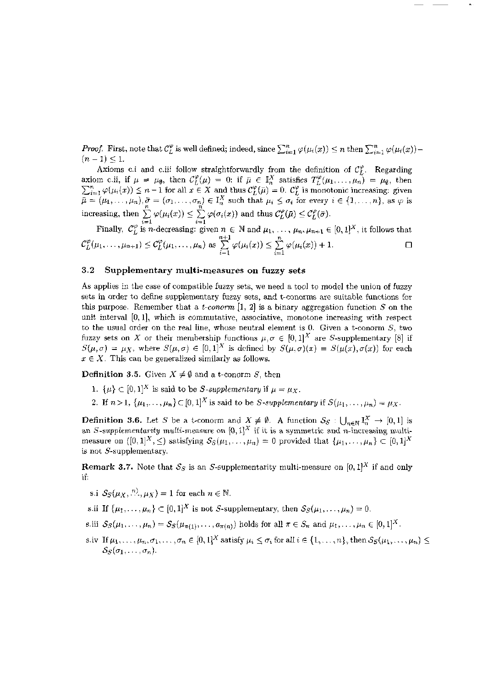*Proof.* First, note that  $\mathcal{C}_L^{\varphi}$  is well defined; indeed, since  $\sum_{i=1}^n \varphi(\mu_i(x)) \leq n$  then  $\sum_{i=1}^n \varphi(\mu_i(x))$ - $(n-1) \leq 1.$ 

Axioms c.i and c.iii follow straightforwardly from the definition of  $C_L^{\varphi}$ . Regarding<br>axiom c.ii, if  $\mu = \mu_{\theta}$ , then  $C_L^{\varphi}(\mu) = 0$ : if  $\bar{\mu} \in \mathbb{I}_n^X$  satisfies  $T_L^{\varphi}(\mu_1, ..., \mu_n) = \mu_{\theta}$ , then<br> $\sum_{i=1}^n \varphi(\mu_i$ 

Finally,  $\mathcal{C}_L^{\varphi}$  is *n*-decreasing: given  $n \in \mathbb{N}$  and  $\mu_1, \ldots, \mu_n, \mu_{n+1} \in [0,1]^X$ , it follows that  $\mathcal{C}_L^{\varphi}(\mu_1,\ldots,\mu_{n+1}) \leq \mathcal{C}_L^{\varphi}(\mu_1,\ldots,\mu_n)$  as  $\sum_{i=1}^{n+1} \varphi(\mu_i(x)) \leq \sum_{i=1}^n \varphi(\mu_i(x)) + 1$ .  $\Box$ 

#### 3.2 Supplementary multi-measures on fuzzy sets

As applies in the case of compatible fuzzy sets, we need a tool to model the union of fuzzy sets in order to define supplementary fuzzy sets, and t-conorms are suitable functions for this purpose. Remember that a *t*-conorm [1, 2] is a binary aggregation function S on the unit interval [0,1], which is commutative, associative, monotone increasing with respect to the usual order on the real line, whose neutral element is 0. Given a t-conorm  $S$ , two fuzzy sets on X or their membership functions  $\mu, \sigma \in [0,1]^X$  are S-supplementary [8] if  $S(\mu, \sigma) = \mu_X$ , where  $S(\mu, \sigma) \in [0, 1]^X$  is defined by  $S(\mu, \sigma)(x) = S(\mu(x), \sigma(x))$  for each  $x \in X$ . This can be generalized similarly as follows.

**Definition 3.5.** Given  $X \neq \emptyset$  and a t-conorm S, then

- 1.  $\{\mu\} \subset [0,1]^X$  is said to be S-supplementary if  $\mu = \mu_X$ .
- 2. If  $n>1$ ,  $\{\mu_1,\ldots,\mu_n\}\subset [0,1]^X$  is said to be S-supplementary if  $S(\mu_1,\ldots,\mu_n)=\mu_X$ .

**Definition 3.6.** Let S be a t-conorm and  $X \neq \emptyset$ . A function  $S_S : \bigcup_{n \in \mathbb{N}} \mathbb{I}_n^X \to [0,1]$  is an *S*-supplementarity multi-measure on  $[0,1]^X$  if it is a symmetric and *n*-increasing multi-<br>measure on  $([0,1]^X, \leq)$  satisfying  $S_S(\mu_1, \ldots, \mu_n) = 0$  provided that  $\{\mu_1, \ldots, \mu_n\} \subset [0,1]^X$ is not  $S$ -supplementary.

**Remark 3.7.** Note that  $S_S$  is an S-supplementarity multi-measure on  $[0,1]^X$  if and only ıf:

- s.i  $S_S(\mu_X, \ldots, \mu_X) = 1$  for each  $n \in \mathbb{N}$ .
- s.ii If  $\{\mu_1, \ldots, \mu_n\} \subset [0,1]^X$  is not S-supplementary, then  $S_S(\mu_1, \ldots, \mu_n) = 0$ .
- s.iii  $S_S(\mu_1,\ldots,\mu_n)=S_S(\mu_{\pi(1)},\ldots,a_{\pi(n)})$  holds for all  $\pi\in S_n$  and  $\mu_1,\ldots,\mu_n\in[0,1]^X$ .
- s.iv If  $\mu_1, \ldots, \mu_n, \sigma_1, \ldots, \sigma_n \in [0, 1]^X$  satisfy  $\mu_i \leq \sigma_i$  for all  $i \in \{1, \ldots, n\}$ , then  $S_S(\mu_1, \ldots, \mu_n) \leq$  $S_S(\sigma_1,\ldots,\sigma_n).$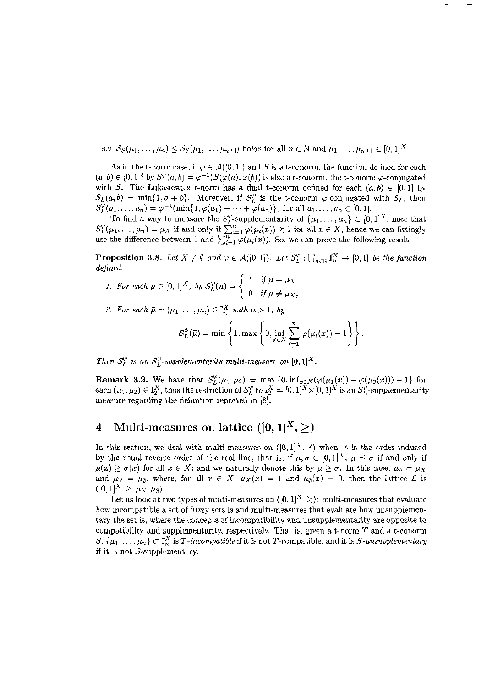s.v  $S_S(\mu_1, ..., \mu_n) \leq S_S(\mu_1, ..., \mu_{n+1})$  holds for all  $n \in \mathbb{N}$  and  $\mu_1, ..., \mu_{n+1} \in [0, 1]^X$ .

As in the t-norm case, if  $\varphi \in \mathcal{A}([0,1])$  and S is a t-conorm, the function defined for each  $(a, b) \in [0, 1]^2$  by  $S^{\varphi}(a, b) = \varphi^{-1}(S(\varphi(a), \varphi(b))$  is also a t-conorm, the t-conorm  $\varphi$ -conjugated with S. The Lukasiewicz t-norm has a dual t-conorm defined for each  $(a, b) \in [0, 1]$  by  $S_L(a, b) = \min\{1, a + b\}$ . Moreover, if  $S_L^{\varphi}$  is the t-conorm  $\varphi$ -conjugated with  $S_L$ , then  $S_L^{\varphi(-)}(a_1,...,a_n) = \varphi^{-1}(\min\{1,\varphi(a_1)+\cdots+\varphi(a_n)\})$  for all  $a_1,...,a_n \in [0,1]$ .

To find a way to measure the  $S_L^{\varphi}$ -supplementarity of  $\{\mu_1, ..., \mu_n\} \subset [0,1]^X$ , note that  $S_L^{\varphi}(\mu_1, ..., \mu_n) = \mu_X$  if and only if  $\sum_{i=1}^n \varphi(\mu_i(x)) \ge 1$  for all  $x \in X$ ; hence we can fittingly use the difference between

**Proposition 3.8.** Let  $X \neq \emptyset$  and  $\varphi \in \mathcal{A}([0,1])$ . Let  $\mathcal{S}_L^{\varphi}: \bigcup_{n\in\mathbb{N}} \mathbb{I}_n^X \to [0,1]$  be the function defined:

- 1. For each  $\mu \in [0,1]^X$ , by  $S_L^{\varphi}(\mu) = \begin{cases} 1 & \text{if } \mu = \mu_X \\ 0 & \text{if } \mu \neq \mu_X, \end{cases}$
- 2. For each  $\bar{\mu} = (\mu_1, \dots, \mu_n) \in \mathbb{I}_n^X$  with  $n > 1$ , by

$$
\mathcal{S}_L^{\varphi}(\bar{\mu}) = \min \left\{ 1, \max \left\{ 0, \inf_{x \in X} \sum_{i=1}^n \varphi(\mu_i(x)) - 1 \right\} \right\}.
$$

Then  $S_L^{\varphi}$  is an  $S_L^{\varphi}$ -supplementarity multi-measure on  $[0,1]^X$ .

**Remark 3.9.** We have that  $S_L^{\varphi}(\mu_1, \mu_2) = \max \{0, \inf_{x \in X} (\varphi(\mu_1(x)) + \varphi(\mu_2(x))) - 1\}$  for each  $(\mu_1, \mu_2) \in I_2^X$ , thus the restriction of  $S_L^{\varphi}$  to  $I_2^X = [0, 1]^X \times [0, 1]^X$  is an  $S_L^{\varphi}$ -supplementarity measure regarding the definition reported in [8].

#### Multi-measures on lattice  $([0, 1]^X, >)$  $\boldsymbol{4}$

In this section, we deal with multi-measures on  $([0,1]^X, \preceq)$  when  $\preceq$  is the order induced by the usual reverse order of the real line, that is, if  $\mu, \sigma \in [0,1]^X$ ,  $\mu \preceq \sigma$  if and only if  $\mu(x) \geq \sigma(x)$  for all  $x \in X$ ; and we naturally denote this by  $\mu \geq \sigma$ . In this case,  $\mu_{\Lambda} = \mu_X$ and  $\mu_{\vee} = \mu_{\emptyset}$ , where, for all  $x \in X$ ,  $\mu_X(x) = 1$  and  $\mu_{\emptyset}(x) = 0$ , then the lattice  $\mathcal L$  is  $([0,1]^X, \geq, \mu_X, \mu_\emptyset).$ 

Let us look at two types of multi-measures on  $([0,1]^X, \geq)$ : multi-measures that evaluate how incompatible a set of fuzzy sets is and multi-measures that evaluate how unsupplementary the set is, where the concepts of incompatibility and unsupplementarity are opposite to compatibility and supplementarity, respectively. That is, given a t-norm  $T$  and a t-conorm  $S, \{\mu_1, \ldots, \mu_n\} \subset \mathbb{I}_n^X$  is T-incompatible if it is not T-compatible, and it is S-unsupplementary if it is not S-supplementary.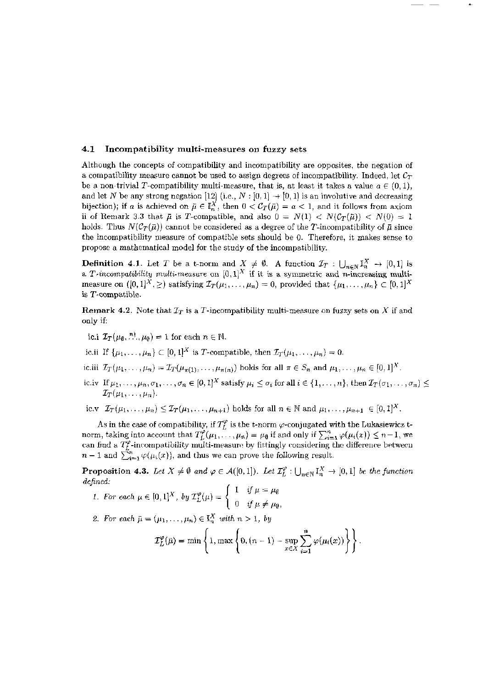#### **4.1 Incompatibilit y multi-measure s on fuzzy sets**

Although the concepts of compatibility and incompatibility are opposites, the negation of a compatibility measure cannot be used to assign degrees of incompatibility. Indeed, let *Cx*  be a non-trivial T-compatibility multi-measure, that is, at least it takes a value  $a \in (0,1)$ , and let *N* be any strong negation [12] (i.e.,  $N : [0,1] \rightarrow [0,1]$  is an involutive and decreasing bijection); if a is achieved on  $\bar{\mu} \in \mathbb{I}_n^X$ , then  $0 < C_T(\bar{\mu}) = a < 1$ , and it follows from axiom ii of Remark 3.3 that  $\bar{\mu}$  is T-compatible, and also  $0 = N(1) < N(\mathcal{C}_T(\bar{\mu})) < N(0) = 1$ holds. Thus  $N(\mathcal{C}_T(\bar{\mu}))$  cannot be considered as a degree of the T-incompatibility of  $\bar{\mu}$  since the incompatibility measure of compatible sets should be 0. Therefore, it makes sense to propose a mathematical model for the study of the incompatibility.

**Definition 4.1.** Let T be a t-norm and  $X \neq \emptyset$ . A function  $\mathcal{I}_T : \bigcup_{n \in \mathbb{N}} \mathbb{I}_n^{\wedge} \to [0,1]$  is **a** *T*-incompatibility multi-measure on  $[0,1]^A$  if it is a symmetric and n-increasing multimeasure on  $([0,1]^X, \geq)$  satisfying  $\mathcal{I}_T(\mu_1, \ldots, \mu_n) = 0$ , provided that  $\{\mu_1, \ldots, \mu_n\} \subset [0,1]^X$ is T-compatible.

Remark 4.2. Note that  $\mathcal{I}_T$  is a T-incompatibility multi-measure on fuzzy sets on X if and only if:

- ic.i  $\mathcal{I}_T(\mu_0, \ldots, \mu_0) = 1$  for each  $n \in \mathbb{N}$ .
- ic.ii If  $\{\mu_1, ..., \mu_n\} \subset [0,1]^X$  is T-compatible, then  $\mathcal{I}_T(\mu_1, ..., \mu_n) = 0$ .
- ic.iii  $\mathcal{I}_T(\mu_1, \ldots, \mu_n) = \mathcal{I}_T(\mu_{\pi(1)}, \ldots, \mu_{\pi(n)})$  holds for all  $\pi \in S_n$  and  $\mu_1, \ldots, \mu_n \in [0, 1]^X$ .
- ic.iv If  $\mu_1,\ldots,\mu_n,\sigma_1,\ldots,\sigma_n\in[0,1]^X$  satisfy  $\mu_i\leq\sigma_i$  for all  $i\in\{1,\ldots,n\},$  then  $\mathcal{I}_T(\sigma_1,\ldots,\sigma_n)$  $\mathcal{I}_T(\mu_1,\ldots,\mu_n)$ .

ic.v  $\mathcal{I}_T(\mu_1, \ldots, \mu_n) \leq \mathcal{I}_T(\mu_1, \ldots, \mu_{n+1})$  holds for all  $n \in \mathbb{N}$  and  $\mu_1, \ldots, \mu_{n+1} \in [0,1]^X$ .

As in the case of compatibility, if  $T_L^{\varphi}$  is the t-norm  $\varphi$ -conjugated with the Lukasiewicz tnorm, taking into account that  $T_L^{\varphi}(\mu_1, \ldots, \mu_n) = \mu_{\emptyset}$  if and only if  $\sum_{i=1}^n \varphi(\mu_i(x)) \leq n-1$ , we can find a  $T^{\nu}_{\ell}$ -incompatibility multi-measure by fittingly considering the difference between  $n-1$  and  $\sum_{i=1}^n \varphi(\mu_i(x))$ , and thus we can prove the following result.

**Proposition 4.3.** Let  $X \neq \emptyset$  and  $\varphi \in A([0,1])$ . Let  $\mathcal{I}_L^{\varphi}: \bigcup_{n \in \mathbb{N}} \mathbb{I}_n^X \to [0,1]$  be the function *defined:* 

1. For each 
$$
\mu \in [0,1]^X
$$
, by  $\mathcal{I}_L^{\varphi}(\mu) = \begin{cases} 1 & \text{if } \mu = \mu_{\emptyset} \\ 0 & \text{if } \mu \neq \mu_{\emptyset} \end{cases}$ 

2. For each  $\bar{\mu} = (\mu_1, \ldots, \mu_n) \in \mathbb{I}_n^X$  with  $n > 1$ , by

$$
\mathcal{I}_L^{\varphi}(\vec{\mu}) = \min \left\{ 1, \max \left\{ 0, (n-1) - \sup_{x \in X} \sum_{i=1}^n \varphi(\mu_i(x)) \right\} \right\}.
$$